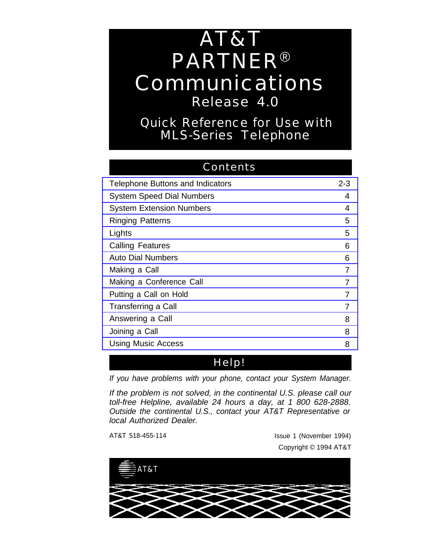# AT&T PARTNER® Communications Release 4.0

Quick Reference for Use with MLS-Series Telephone

| <b>Contents</b>                         |         |
|-----------------------------------------|---------|
| <b>Telephone Buttons and Indicators</b> | $2 - 3$ |
| <b>System Speed Dial Numbers</b>        | 4       |
| <b>System Extension Numbers</b>         | 4       |
| <b>Ringing Patterns</b>                 | 5       |
| Lights                                  | 5       |
| <b>Calling Features</b>                 | 6       |
| <b>Auto Dial Numbers</b>                | 6       |
| Making a Call                           | 7       |
| Making a Conference Call                | 7       |
| Putting a Call on Hold                  | 7       |
| <b>Transferring a Call</b>              | 7       |
| Answering a Call                        | 8       |
| Joining a Call                          | 8       |
| <b>Using Music Access</b>               | 8       |

### Help!

If you have problems with your phone, contact your System Manager.

If the problem is not solved, in the continental U.S. please call our toll-free Helpline, available 24 hours a day, at 1 800 628-2888. Outside the continental U.S., contact your AT&T Representative or local Authorized Dealer.

AT&T 518-455-114 Issue 1 (November 1994) Copyright © 1994 AT&T

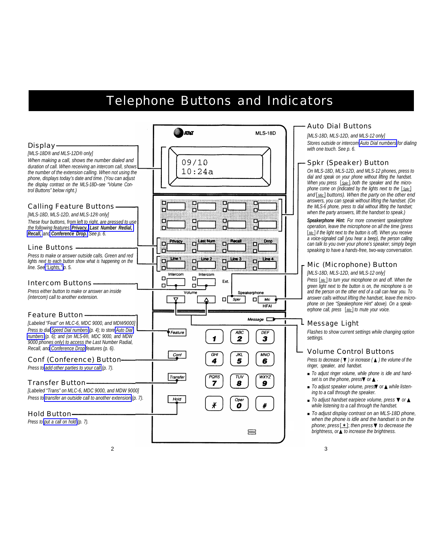### Telephone Buttons and Indicators

<span id="page-1-0"></span>

|                                                                                                                                                                                                                                                                                                                                                                           | ATNT                                                                                | <b>MLS-18D</b>                          |
|---------------------------------------------------------------------------------------------------------------------------------------------------------------------------------------------------------------------------------------------------------------------------------------------------------------------------------------------------------------------------|-------------------------------------------------------------------------------------|-----------------------------------------|
| <b>Display</b><br>[MLS-18D® and MLS-12D® only]<br>When making a call, shows the number dialed and<br>duration of call. When receiving an intercom call, shows<br>the number of the extension calling. When not using the<br>phone, displays today's date and time. (You can adjust<br>the display contrast on the MLS-18D-see "Volume Con-<br>trol Buttons" below right.) | 09/10<br>10:24a                                                                     |                                         |
| <b>Calling Feature Buttons-</b><br>[MLS-18D, MLS-12D, and MLS-12® only]<br>These four buttons, from left to right, are pressed to use<br>the following features: Privacy, Last Number Redial,<br>Recall, and Conference Drop. See p. 6.                                                                                                                                   |                                                                                     |                                         |
| <b>Line Buttons -</b><br>Press to make or answer outside calls. Green and red<br>lights next to each button show what is happening on the<br>line. See "Lights," p. 5.                                                                                                                                                                                                    | Last Num<br>Recall<br>Privacy<br>Line 1<br>Line 2<br>Line 3<br>Intercom<br>Intercom | Drop<br>Line 4                          |
| <b>Intercom Buttons</b><br>Press either button to make or answer an inside<br>(intercom) call to another extension.                                                                                                                                                                                                                                                       | о<br>□<br>Ext.<br>п<br>о<br>Volume<br>Spkr<br>п<br>Δ                                | Speakerphone<br>п<br>Mic<br><b>HFAI</b> |
| <b>Feature Button-</b>                                                                                                                                                                                                                                                                                                                                                    |                                                                                     | $Message$ $\Box$                        |
| [Labeled "Feat" on MLC-6, MDC 9000, and MDW9000]<br>Press to dial Speed Dial numbers (p. 4); to store Auto Dial<br>numbers (p. 6); and (on MLS-6®, MDC 9000, and MDW<br>9000 phones only) to access the Last Number Radial.<br>Recall, and Conference Drop features (p. 6).                                                                                               | Feature<br>1                                                                        | ABC<br>DEF<br>2<br>3                    |
| <b>Conf (Conference) Button-</b>                                                                                                                                                                                                                                                                                                                                          | GHI<br>Conf<br>5<br>4                                                               | JKL<br><b>MNO</b><br>6                  |
| Press to add other parties to your call (p. 7).                                                                                                                                                                                                                                                                                                                           |                                                                                     |                                         |
| <b>Transfer Button-</b><br>[Labeled "Trans" on MLC-6, MDC 9000, and MDW 9000]<br>Press to transfer an outside call to another extension (p. 7).<br><b>Hold Button-</b>                                                                                                                                                                                                    | PQRS<br>Transfer<br>7<br>8<br>Hold<br>¥                                             | wxyz<br>τυν<br>g<br>Oper                |
| Press to put a call on hold (p. 7).                                                                                                                                                                                                                                                                                                                                       |                                                                                     |                                         |
| 2                                                                                                                                                                                                                                                                                                                                                                         |                                                                                     |                                         |

#### Auto Dial Buttons

[MLS-18D, MLS-12D, and MLS-12 only] Stores outside or intercom [Auto Dial numbers](#page-4-0) for dialing with one touch. See p. 6.

#### Spkr (Speaker) Button

On MLS-18D, MLS-12D, and MLS-12 phones, press to dial and speak on your phone without lifting the handset. When you press [Spkr], both the speaker and the microphone come on (indicated by the lights next to the  $[<sub>Sokr</sub>]$ and [Mic] buttons). When the party on the other end answers, you can speak without lifting the handset. (On the MLS-6 phone, press to dial without lifting the handset; when the party answers, lift the handset to speak.)

**Speakerphone Hint:** For more convenient speakerphone operation, leave the microphone on all the time (press [Mic] if the light next to the button is off). When you receive a voice-signaled call (you hear a beep), the person calling can talk to you over your phone's speaker; simply begin speaking to have a hands-free, two-way conversation.

#### Mic (Microphone) Button

[MLS-18D, MLS-12D, and MLS-12 only]

Press [Mic] to turn your microphone on and off. When the green light next to the button is on, the microphone is on and the person on the other end of a call can hear you. To answer calls without lifting the handset, leave the microphone on (see "Speakerphone Hint" above). On a speakerphone call, press [Mic] to mute your voice.

#### Message Light

Flashes to show current settings while changing option settings.

### Volume Control Buttons

Press to decrease ( $\blacktriangledown$ ) or increase ( $\blacktriangle$ ) the volume of the ringer, speaker, and handset.

- To adjust ringer volume, while phone is idle and handset is on the phone, press<sup>V</sup> or **△** .
- To adjust speaker volume, press or ▲ while listening to a call through the speaker.
- To adjust handset earpiece volume, press ▼ or ▲ while listening to a call through the handset.
- To adjust display contrast on an MLS-18D phone, when the phone is idle and the handset is on the phone; press  $[ * ]$ ; then press  $\blacktriangledown$  to decrease the brightness, or ▲ to increase the brightness.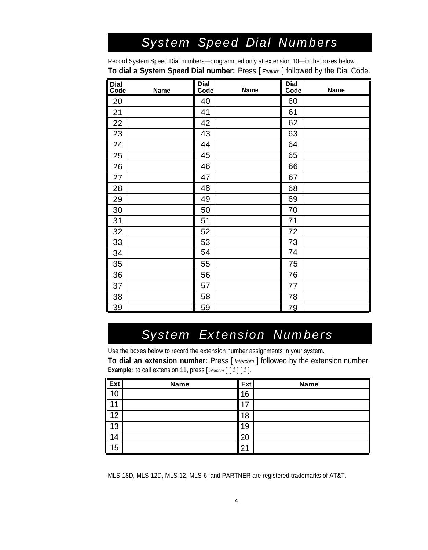## *System Speed Dial Numbers*

<span id="page-2-0"></span>Record System Speed Dial numbers—programmed only at extension 10—in the boxes below. **To dial a System Speed Dial number:** Press [*Feature*] followed by the Dial Code.

| <b>Dial</b><br>Code | <b>Name</b> | <b>Dial</b><br>Code | <b>Name</b> | <b>Dial</b><br>Code | Name |
|---------------------|-------------|---------------------|-------------|---------------------|------|
| 20                  |             | 40                  |             | 60                  |      |
| 21                  |             | 41                  |             | 61                  |      |
| 22                  |             | 42                  |             | 62                  |      |
| 23                  |             | 43                  |             | 63                  |      |
| 24                  |             | 44                  |             | 64                  |      |
| 25                  |             | 45                  |             | 65                  |      |
| 26                  |             | 46                  |             | 66                  |      |
| 27                  |             | 47                  |             | 67                  |      |
| 28                  |             | 48                  |             | 68                  |      |
| 29                  |             | 49                  |             | 69                  |      |
| 30                  |             | 50                  |             | 70                  |      |
| 31                  |             | 51                  |             | 71                  |      |
| 32                  |             | 52                  |             | 72                  |      |
| 33                  |             | 53                  |             | 73                  |      |
| 34                  |             | 54                  |             | 74                  |      |
| 35                  |             | 55                  |             | 75                  |      |
| 36                  |             | 56                  |             | 76                  |      |
| 37                  |             | 57                  |             | 77                  |      |
| 38                  |             | 58                  |             | 78                  |      |
| 39                  |             | 59                  |             | 79                  |      |

### *System Extension Numbers*

Use the boxes below to record the extension number assignments in your system.

**To dial an extension number:** Press [*Intercom*] followed by the extension number. **Example:** to call extension 11, press [*Intercom*] [1] [1].

| Ex <sub>t</sub>   | <b>Name</b> | <b>Ext</b> | <b>Name</b> |
|-------------------|-------------|------------|-------------|
| $\overline{10}$   |             | 16         |             |
| Г<br>4            |             | 7،         |             |
| I<br>12           |             | 18         |             |
| $\blacksquare$ 13 |             | 9          |             |
| I                 |             | 20         |             |
| 15                |             | 21         |             |

MLS-18D, MLS-12D, MLS-12, MLS-6, and PARTNER are registered trademarks of AT&T.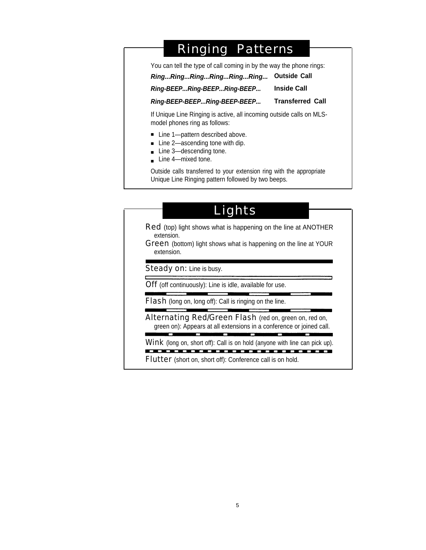### Ringing Patterns

<span id="page-3-0"></span>You can tell the type of call coming in by the way the phone rings:

**Ring...Ring...Ring...Ring...Ring...Ring... Outside Call**

#### **Ring-BEEP...Ring-BEEP...Ring-BEEP... Inside Call**

**Ring-BEEP-BEEP...Ring-BEEP-BEEP... Transferred Call**

If Unique Line Ringing is active, all incoming outside calls on MLSmodel phones ring as follows:

- Line 1—pattern described above.
- Line 2—ascending tone with dip.
- Line 3—descending tone.
- Line 4—mixed tone.

Outside calls transferred to your extension ring with the appropriate Unique Line Ringing pattern followed by two beeps.

### Lights

Red (top) light shows what is happening on the line at ANOTHER extension.

**Green** (bottom) light shows what is happening on the line at YOUR extension.

Steady on: Line is busy.

**Off** (off continuously): Line is idle, available for use.

**Flash** (long on, long off): Call is ringing on the line.

Alternating Red/Green Flash (red on, green on, red on, green on): Appears at all extensions in a conference or joined call.

П

Wink (long on, short off): Call is on hold (anyone with line can pick up).

Flutter (short on, short off): Conference call is on hold.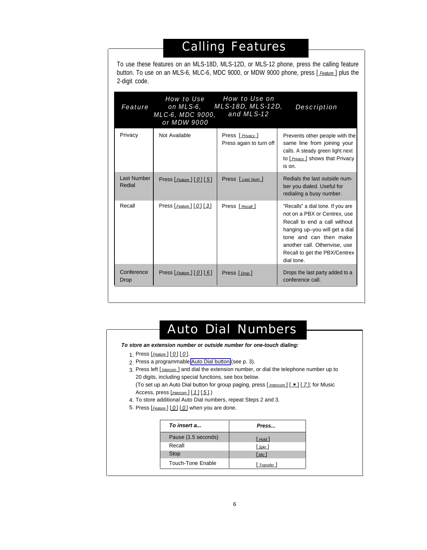# Calling Features

<span id="page-4-0"></span>To use these features on an MLS-18D, MLS-12D, or MLS-12 phone, press the calling feature button. To use on an MLS-6, MLC-6, MDC 9000, or MDW 9000 phone, press [Feature] plus the 2-digit code.

| Privacy<br>Not Available<br>Press [ <i>Privacy</i> ]<br>Press again to turn off<br>is on.<br>Last Number<br>Press [Last Num]<br>Press $[$ <i>Feature</i> $]$ $[$ $[$ $]$ $[$ $[$ $5]$<br>Redial<br>ber you dialed. Useful for<br>redialing a busy number.<br>Recall<br>Press $[$ Feature $]$ $[$ $0]$ $[$ $3]$<br>Press [ Recall ]<br>dial tone.<br>Conference | <b>Feature</b> | <b>How to Use</b><br>on MLS-6,<br><b>MLC-6, MDC 9000,</b><br>or MDW 9000 | <b>How to Use on</b><br><b>MLS-18D, MLS-12D,</b><br>and MLS-12 | <b>Description</b>                                                                                                                                                                                                             |
|----------------------------------------------------------------------------------------------------------------------------------------------------------------------------------------------------------------------------------------------------------------------------------------------------------------------------------------------------------------|----------------|--------------------------------------------------------------------------|----------------------------------------------------------------|--------------------------------------------------------------------------------------------------------------------------------------------------------------------------------------------------------------------------------|
|                                                                                                                                                                                                                                                                                                                                                                |                |                                                                          |                                                                | Prevents other people with the<br>same line from joining your<br>calls. A steady green light next<br>to [ <i>Privacy</i> ] shows that Privacy                                                                                  |
|                                                                                                                                                                                                                                                                                                                                                                |                |                                                                          |                                                                | Redials the last outside num-                                                                                                                                                                                                  |
|                                                                                                                                                                                                                                                                                                                                                                |                |                                                                          |                                                                | "Recalls" a dial tone. If you are<br>not on a PBX or Centrex, use<br>Recall to end a call without<br>hanging up-you will get a dial<br>tone and can then make<br>another call. Othenvise, use<br>Recall to get the PBX/Centrex |
| conference call.<br>Drop                                                                                                                                                                                                                                                                                                                                       |                | Press $[Feature] [ 0] [ 6]$                                              | Press [ <i>Drop</i> ]                                          | Drops the last party added to a                                                                                                                                                                                                |

# Auto Dial Numbers

#### **To store an extension number or outside number for one-touch dialing:**

- 1. Press [*Feature* ] [ 0 ] [ 0 ].
- 2. Press a programmable [Auto Dial button](#page-1-0) (see p. 3).
- 3. Press left [*Intercom* ] and dial the extension number, or dial the telephone number up to 20 digits, including special functions, see box below.

(To set up an Auto Dial button for group paging, press  $[\underline{\text{Intercom}}] [\ast] [\underline{7}]$ ; for Music Access, press  $[$  *Intercom*  $]$   $[ 1 ]$   $[ 5 ]$ .)

- 4. To store additional Auto Dial numbers, repeat Steps 2 and 3.
- 5. Press [Feature] [0] [0] when you are done.

| To insert a         | Press               |
|---------------------|---------------------|
| Pause (1.5 seconds) | $[$ Hold            |
| Recall              | $[$ Spkr $]$        |
| <b>Stop</b>         | Mic                 |
| Touch-Tone Enable   | [ <i>Transfer</i> ] |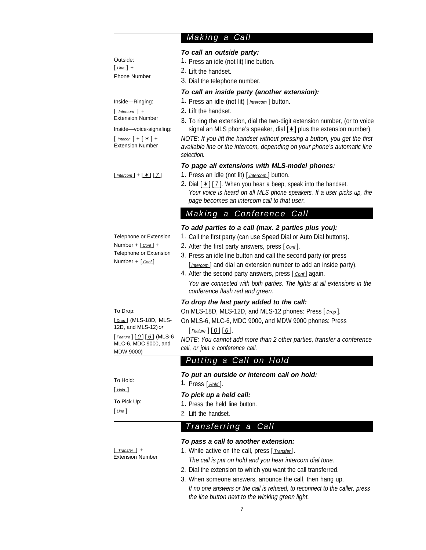### *Making a Call*

<span id="page-5-0"></span>

| Outside:<br>$Line$ +<br>Phone Number                                                                                                                | To call an outside party:<br>1. Press an idle (not lit) line button.<br>2. Lift the handset.<br>3. Dial the telephone number.                                                                                                                                                                                                                                                                                                                                                                                   |
|-----------------------------------------------------------------------------------------------------------------------------------------------------|-----------------------------------------------------------------------------------------------------------------------------------------------------------------------------------------------------------------------------------------------------------------------------------------------------------------------------------------------------------------------------------------------------------------------------------------------------------------------------------------------------------------|
| Inside-Ringing:<br>$[$ Intercom $]$ +<br><b>Extension Number</b><br>Inside-voice-signaling:<br>$[$ Intecon $] + [ * ] +$<br><b>Extension Number</b> | To call an inside party (another extension):<br>1. Press an idle (not lit) [ <i>Intercom</i> ] button.<br>2. Lift the handset.<br>3. To ring the extension, dial the two-digit extension number, (or to voice<br>signal an MLS phone's speaker, dial $[*]$ plus the extension number).<br>NOTE: If you lift the handset without pressing a button, you get the first<br>available line or the intercom, depending on your phone's automatic line<br>selection.                                                  |
| $[$ Intercom $] + [ * ] [ 7 ]$                                                                                                                      | To page all extensions with MLS-model phones:<br>1. Press an idle (not lit) [Intercom] button.<br>2. Dial $[\cdot \cdot]$ [7]. When you hear a beep, speak into the handset.<br>Your voice is heard on all MLS phone speakers. If a user picks up, the<br>page becomes an intercom call to that user.                                                                                                                                                                                                           |
|                                                                                                                                                     | <b>Making</b> a<br><b>Conference Call</b>                                                                                                                                                                                                                                                                                                                                                                                                                                                                       |
| Telephone or Extension<br>Number + $[_{Conf}]$ +<br>Telephone or Extension<br>Number + [ Cont]                                                      | To add parties to a call (max. 2 parties plus you):<br>1. Call the first party (can use Speed Dial or Auto Dial buttons).<br>2. After the first party answers, press [ <i>cont</i> ].<br>3. Press an idle line button and call the second party (or press<br>[Intercom] and dial an extension number to add an inside party).<br>4. After the second party answers, press [ <i>Cont</i> ] again.<br>You are connected with both parties. The lights at all extensions in the<br>conference flash red and green. |
| To Drop:<br>[ <i>Drop</i> ] (MLS-18D, MLS-<br>12D, and MLS-12) or<br>[Feature] [0] [6] (MLS-6<br>MLC-6, MDC 9000, and                               | To drop the last party added to the call:<br>On MLS-18D, MLS-12D, and MLS-12 phones: Press [ <i>Drop</i> ].<br>On MLS-6, MLC-6, MDC 9000, and MDW 9000 phones: Press<br>$[$ Feature $]$ $[$ $0]$ $[$ $6]$ .<br>NOTE: You cannot add more than 2 other parties, transfer a conference<br>call, or join a conference call.                                                                                                                                                                                        |
| MDW 9000)                                                                                                                                           | <b>Putting a Call on Hold</b>                                                                                                                                                                                                                                                                                                                                                                                                                                                                                   |
| To Hold:<br>$[$ Hold $]$<br>To Pick Up:<br>Line                                                                                                     | To put an outside or intercom call on hold:<br>1. Press [ <i>Hold</i> ].<br>To pick up a held call:<br>1. Press the held line button.<br>2. Lift the handset.                                                                                                                                                                                                                                                                                                                                                   |
|                                                                                                                                                     | <b>Transferring a Call</b>                                                                                                                                                                                                                                                                                                                                                                                                                                                                                      |
| $Transfer$ +<br><b>Extension Number</b>                                                                                                             | To pass a call to another extension:<br>1. While active on the call, press [ <i>Transter</i> ].<br>The call is put on hold and you hear intercom dial tone.<br>2. Dial the extension to which you want the call transferred.<br>3. When someone answers, anounce the call, then hang up.<br>If no one answers or the call is refused, to reconnect to the caller, press<br>the line button next to the winking green light.                                                                                     |